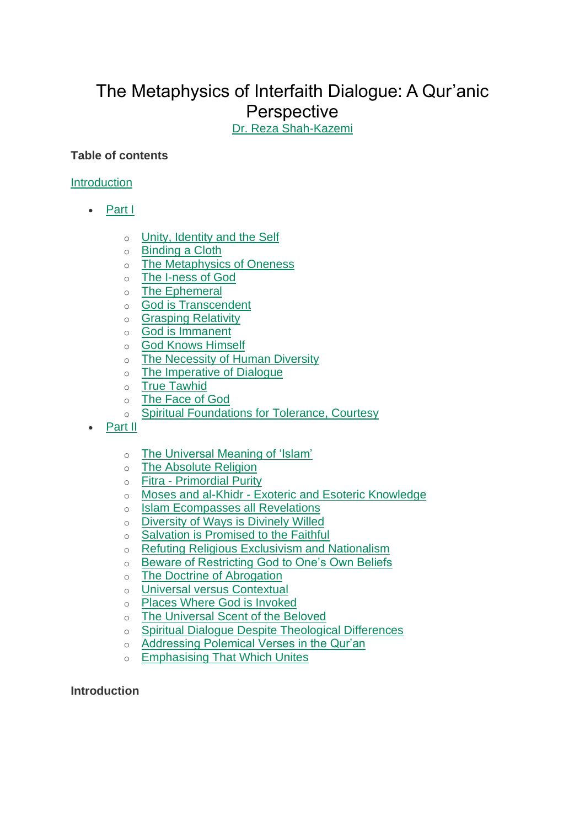# The Metaphysics of Interfaith Dialogue: A Qur'anic **Perspective**

Dr. Reza Shah-Kazemi

# **Table of contents**

## Introduction

- Part I
	- o Unity, Identity and the Self
	- o Binding a Cloth
	- o The Metaphysics of Oneness
	- o The I-ness of God
	- o The Ephemeral
	- o God is Transcendent
	- o Grasping Relativity
	- o God is Immanent
	- o God Knows Himself
	- o The Necessity of Human Diversity
	- o The Imperative of Dialogue
	- o True Tawhid
	- o The Face of God
	- o Spiritual Foundations for Tolerance, Courtesy
- Part II
	- o The Universal Meaning of 'Islam'
	- o The Absolute Religion
	- o Fitra Primordial Purity
	- o Moses and al-Khidr Exoteric and Esoteric Knowledge
	- o Islam Ecompasses all Revelations
	- o Diversity of Ways is Divinely Willed
	- o Salvation is Promised to the Faithful
	- o Refuting Religious Exclusivism and Nationalism
	- o Beware of Restricting God to One's Own Beliefs
	- o The Doctrine of Abrogation
	- o Universal versus Contextual
	- o Places Where God is Invoked
	- o The Universal Scent of the Beloved
	- o Spiritual Dialogue Despite Theological Differences
	- o Addressing Polemical Verses in the Qur'an
	- o Emphasising That Which Unites

#### **Introduction**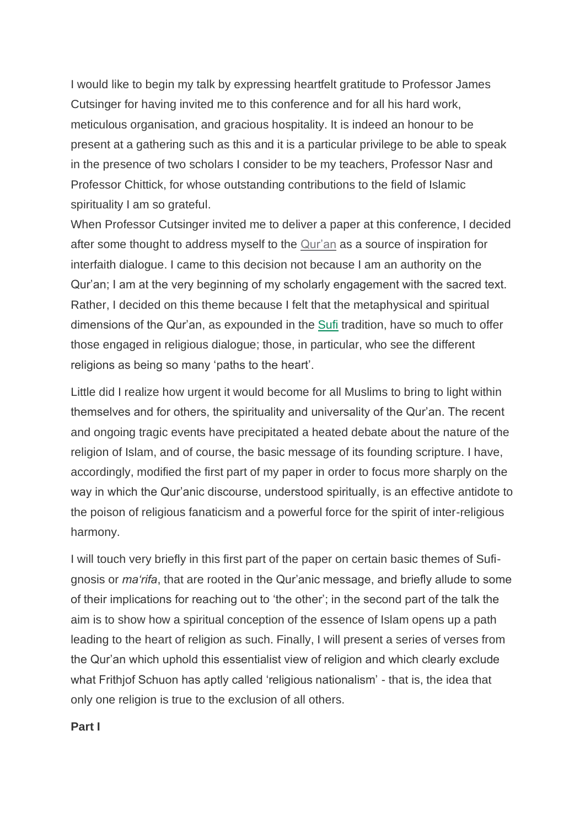I would like to begin my talk by expressing heartfelt gratitude to Professor James Cutsinger for having invited me to this conference and for all his hard work, meticulous organisation, and gracious hospitality. It is indeed an honour to be present at a gathering such as this and it is a particular privilege to be able to speak in the presence of two scholars I consider to be my teachers, Professor Nasr and Professor Chittick, for whose outstanding contributions to the field of Islamic spirituality I am so grateful.

When Professor Cutsinger invited me to deliver a paper at this conference, I decided after some thought to address myself to the Qur'an as a source of inspiration for interfaith dialogue. I came to this decision not because I am an authority on the Qur'an; I am at the very beginning of my scholarly engagement with the sacred text. Rather, I decided on this theme because I felt that the metaphysical and spiritual dimensions of the Qur'an, as expounded in the Sufi tradition, have so much to offer those engaged in religious dialogue; those, in particular, who see the different religions as being so many 'paths to the heart'.

Little did I realize how urgent it would become for all Muslims to bring to light within themselves and for others, the spirituality and universality of the Qur'an. The recent and ongoing tragic events have precipitated a heated debate about the nature of the religion of Islam, and of course, the basic message of its founding scripture. I have, accordingly, modified the first part of my paper in order to focus more sharply on the way in which the Qur'anic discourse, understood spiritually, is an effective antidote to the poison of religious fanaticism and a powerful force for the spirit of inter-religious harmony.

I will touch very briefly in this first part of the paper on certain basic themes of Sufignosis or *ma'rifa*, that are rooted in the Qur'anic message, and briefly allude to some of their implications for reaching out to 'the other'; in the second part of the talk the aim is to show how a spiritual conception of the essence of Islam opens up a path leading to the heart of religion as such. Finally, I will present a series of verses from the Qur'an which uphold this essentialist view of religion and which clearly exclude what Frithjof Schuon has aptly called 'religious nationalism' - that is, the idea that only one religion is true to the exclusion of all others.

**Part I**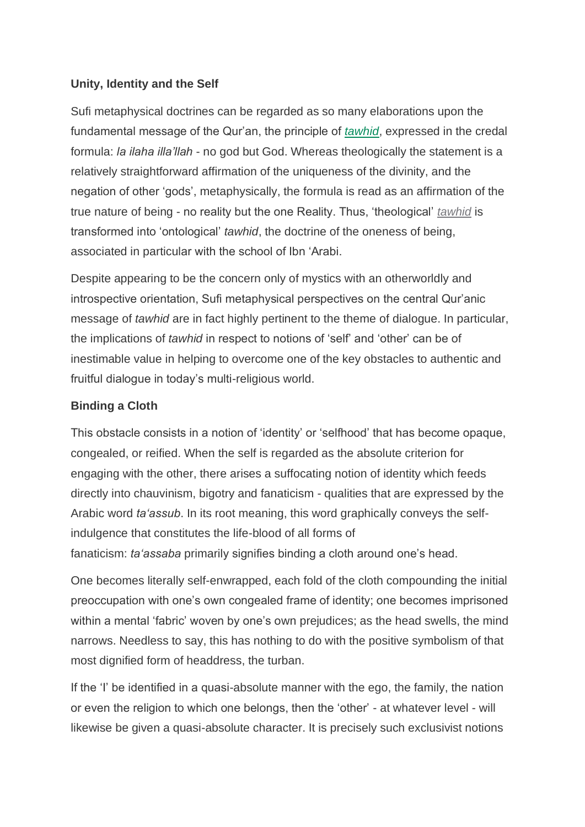## **Unity, Identity and the Self**

Sufi metaphysical doctrines can be regarded as so many elaborations upon the fundamental message of the Qur'an, the principle of *tawhid*, expressed in the credal formula: *la ilaha illa'llah* - no god but God. Whereas theologically the statement is a relatively straightforward affirmation of the uniqueness of the divinity, and the negation of other 'gods', metaphysically, the formula is read as an affirmation of the true nature of being - no reality but the one Reality. Thus, 'theological' *tawhid* is transformed into 'ontological' *tawhid*, the doctrine of the oneness of being, associated in particular with the school of Ibn 'Arabi.

Despite appearing to be the concern only of mystics with an otherworldly and introspective orientation, Sufi metaphysical perspectives on the central Qur'anic message of *tawhid* are in fact highly pertinent to the theme of dialogue. In particular, the implications of *tawhid* in respect to notions of 'self' and 'other' can be of inestimable value in helping to overcome one of the key obstacles to authentic and fruitful dialogue in today's multi-religious world.

# **Binding a Cloth**

This obstacle consists in a notion of 'identity' or 'selfhood' that has become opaque, congealed, or reified. When the self is regarded as the absolute criterion for engaging with the other, there arises a suffocating notion of identity which feeds directly into chauvinism, bigotry and fanaticism - qualities that are expressed by the Arabic word *ta'assub*. In its root meaning, this word graphically conveys the selfindulgence that constitutes the life-blood of all forms of fanaticism: *ta'assaba* primarily signifies binding a cloth around one's head.

One becomes literally self-enwrapped, each fold of the cloth compounding the initial preoccupation with one's own congealed frame of identity; one becomes imprisoned within a mental 'fabric' woven by one's own prejudices; as the head swells, the mind narrows. Needless to say, this has nothing to do with the positive symbolism of that most dignified form of headdress, the turban.

If the 'I' be identified in a quasi-absolute manner with the ego, the family, the nation or even the religion to which one belongs, then the 'other' - at whatever level - will likewise be given a quasi-absolute character. It is precisely such exclusivist notions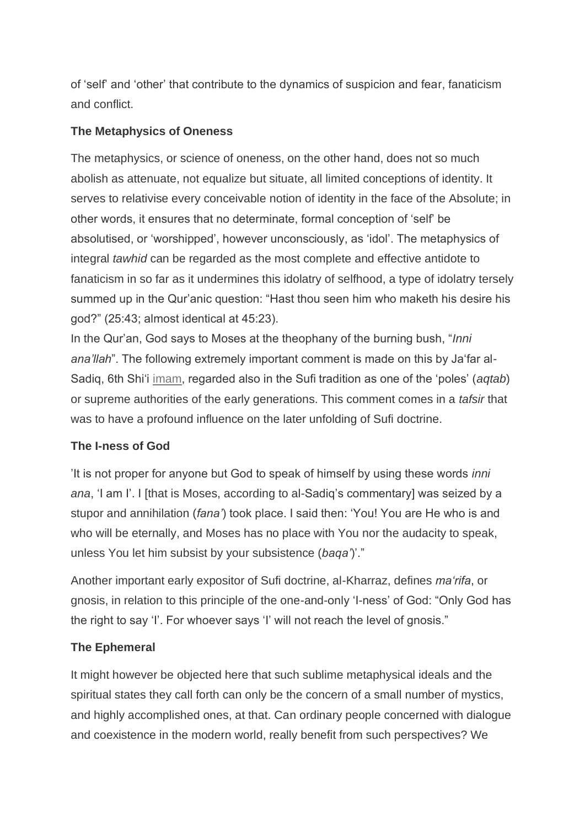of 'self' and 'other' that contribute to the dynamics of suspicion and fear, fanaticism and conflict.

# **The Metaphysics of Oneness**

The metaphysics, or science of oneness, on the other hand, does not so much abolish as attenuate, not equalize but situate, all limited conceptions of identity. It serves to relativise every conceivable notion of identity in the face of the Absolute; in other words, it ensures that no determinate, formal conception of 'self' be absolutised, or 'worshipped', however unconsciously, as 'idol'. The metaphysics of integral *tawhid* can be regarded as the most complete and effective antidote to fanaticism in so far as it undermines this idolatry of selfhood, a type of idolatry tersely summed up in the Qur'anic question: "Hast thou seen him who maketh his desire his god?" (25:43; almost identical at 45:23).

In the Qur'an, God says to Moses at the theophany of the burning bush, "*Inni ana'llah*". The following extremely important comment is made on this by Ja'far al-Sadiq, 6th Shi'i imam, regarded also in the Sufi tradition as one of the 'poles' (*aqtab*) or supreme authorities of the early generations. This comment comes in a *tafsir* that was to have a profound influence on the later unfolding of Sufi doctrine.

# **The I-ness of God**

'It is not proper for anyone but God to speak of himself by using these words *inni ana*, 'I am I'. I [that is Moses, according to al-Sadiq's commentary] was seized by a stupor and annihilation (*fana'*) took place. I said then: 'You! You are He who is and who will be eternally, and Moses has no place with You nor the audacity to speak, unless You let him subsist by your subsistence (*baqa'*)'."

Another important early expositor of Sufi doctrine, al-Kharraz, defines *ma'rifa*, or gnosis, in relation to this principle of the one-and-only 'I-ness' of God: "Only God has the right to say 'I'. For whoever says 'I' will not reach the level of gnosis."

# **The Ephemeral**

It might however be objected here that such sublime metaphysical ideals and the spiritual states they call forth can only be the concern of a small number of mystics, and highly accomplished ones, at that. Can ordinary people concerned with dialogue and coexistence in the modern world, really benefit from such perspectives? We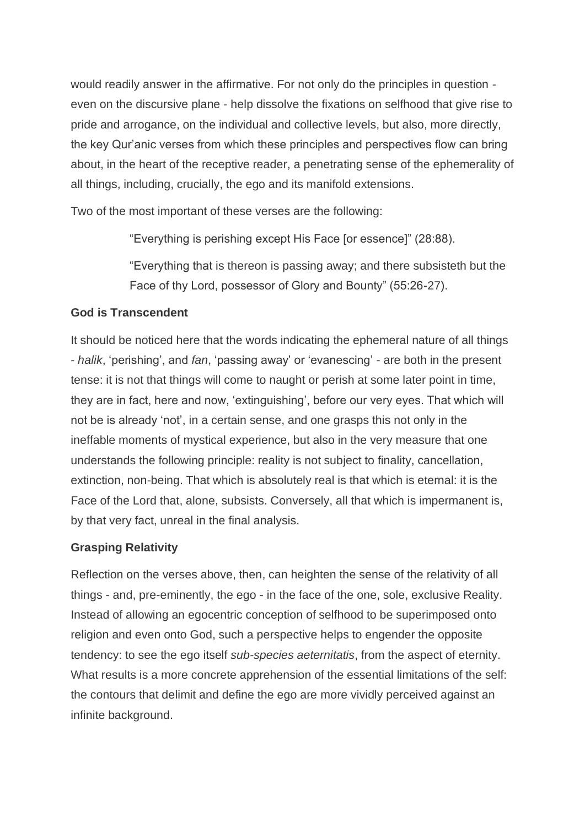would readily answer in the affirmative. For not only do the principles in question even on the discursive plane - help dissolve the fixations on selfhood that give rise to pride and arrogance, on the individual and collective levels, but also, more directly, the key Qur'anic verses from which these principles and perspectives flow can bring about, in the heart of the receptive reader, a penetrating sense of the ephemerality of all things, including, crucially, the ego and its manifold extensions.

Two of the most important of these verses are the following:

"Everything is perishing except His Face [or essence]" (28:88).

"Everything that is thereon is passing away; and there subsisteth but the Face of thy Lord, possessor of Glory and Bounty" (55:26-27).

# **God is Transcendent**

It should be noticed here that the words indicating the ephemeral nature of all things - *halik*, 'perishing', and *fan*, 'passing away' or 'evanescing' - are both in the present tense: it is not that things will come to naught or perish at some later point in time, they are in fact, here and now, 'extinguishing', before our very eyes. That which will not be is already 'not', in a certain sense, and one grasps this not only in the ineffable moments of mystical experience, but also in the very measure that one understands the following principle: reality is not subject to finality, cancellation, extinction, non-being. That which is absolutely real is that which is eternal: it is the Face of the Lord that, alone, subsists. Conversely, all that which is impermanent is, by that very fact, unreal in the final analysis.

# **Grasping Relativity**

Reflection on the verses above, then, can heighten the sense of the relativity of all things - and, pre-eminently, the ego - in the face of the one, sole, exclusive Reality. Instead of allowing an egocentric conception of selfhood to be superimposed onto religion and even onto God, such a perspective helps to engender the opposite tendency: to see the ego itself *sub-species aeternitatis*, from the aspect of eternity. What results is a more concrete apprehension of the essential limitations of the self: the contours that delimit and define the ego are more vividly perceived against an infinite background.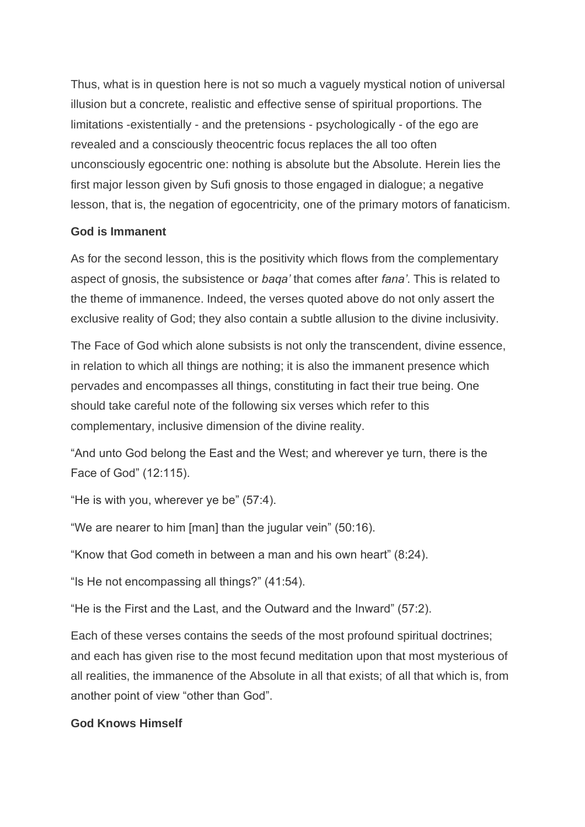Thus, what is in question here is not so much a vaguely mystical notion of universal illusion but a concrete, realistic and effective sense of spiritual proportions. The limitations -existentially - and the pretensions - psychologically - of the ego are revealed and a consciously theocentric focus replaces the all too often unconsciously egocentric one: nothing is absolute but the Absolute. Herein lies the first major lesson given by Sufi gnosis to those engaged in dialogue; a negative lesson, that is, the negation of egocentricity, one of the primary motors of fanaticism.

## **God is Immanent**

As for the second lesson, this is the positivity which flows from the complementary aspect of gnosis, the subsistence or *baqa'* that comes after *fana'*. This is related to the theme of immanence. Indeed, the verses quoted above do not only assert the exclusive reality of God; they also contain a subtle allusion to the divine inclusivity.

The Face of God which alone subsists is not only the transcendent, divine essence, in relation to which all things are nothing; it is also the immanent presence which pervades and encompasses all things, constituting in fact their true being. One should take careful note of the following six verses which refer to this complementary, inclusive dimension of the divine reality.

"And unto God belong the East and the West; and wherever ye turn, there is the Face of God" (12:115).

"He is with you, wherever ye be" (57:4).

"We are nearer to him [man] than the jugular vein" (50:16).

"Know that God cometh in between a man and his own heart" (8:24).

"Is He not encompassing all things?" (41:54).

"He is the First and the Last, and the Outward and the Inward" (57:2).

Each of these verses contains the seeds of the most profound spiritual doctrines; and each has given rise to the most fecund meditation upon that most mysterious of all realities, the immanence of the Absolute in all that exists; of all that which is, from another point of view "other than God".

# **God Knows Himself**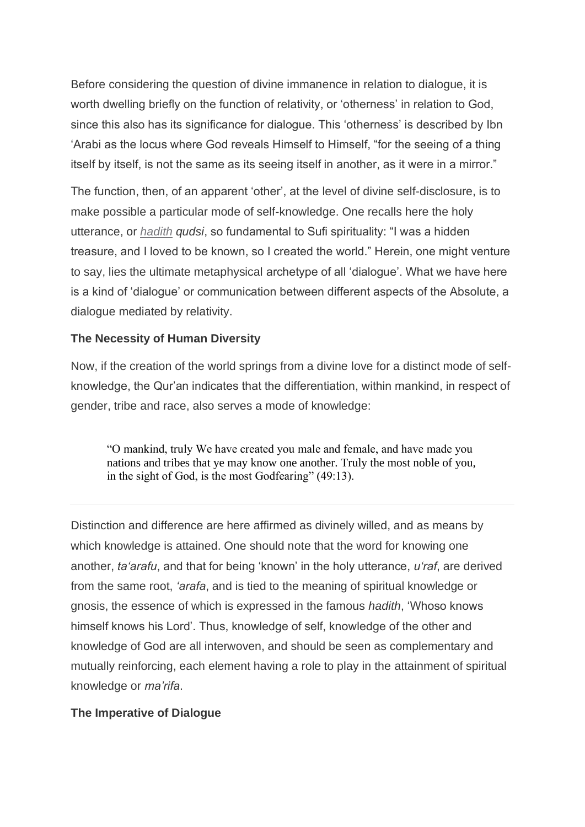Before considering the question of divine immanence in relation to dialogue, it is worth dwelling briefly on the function of relativity, or 'otherness' in relation to God, since this also has its significance for dialogue. This 'otherness' is described by Ibn 'Arabi as the locus where God reveals Himself to Himself, "for the seeing of a thing itself by itself, is not the same as its seeing itself in another, as it were in a mirror."

The function, then, of an apparent 'other', at the level of divine self-disclosure, is to make possible a particular mode of self-knowledge. One recalls here the holy utterance, or *hadith qudsi*, so fundamental to Sufi spirituality: "I was a hidden treasure, and I loved to be known, so I created the world." Herein, one might venture to say, lies the ultimate metaphysical archetype of all 'dialogue'. What we have here is a kind of 'dialogue' or communication between different aspects of the Absolute, a dialogue mediated by relativity.

# **The Necessity of Human Diversity**

Now, if the creation of the world springs from a divine love for a distinct mode of selfknowledge, the Qur'an indicates that the differentiation, within mankind, in respect of gender, tribe and race, also serves a mode of knowledge:

"O mankind, truly We have created you male and female, and have made you nations and tribes that ye may know one another. Truly the most noble of you, in the sight of God, is the most Godfearing" (49:13).

Distinction and difference are here affirmed as divinely willed, and as means by which knowledge is attained. One should note that the word for knowing one another, *ta'arafu*, and that for being 'known' in the holy utterance, *u'raf*, are derived from the same root, *'arafa*, and is tied to the meaning of spiritual knowledge or gnosis, the essence of which is expressed in the famous *hadith*, 'Whoso knows himself knows his Lord'. Thus, knowledge of self, knowledge of the other and knowledge of God are all interwoven, and should be seen as complementary and mutually reinforcing, each element having a role to play in the attainment of spiritual knowledge or *ma'rifa*.

#### **The Imperative of Dialogue**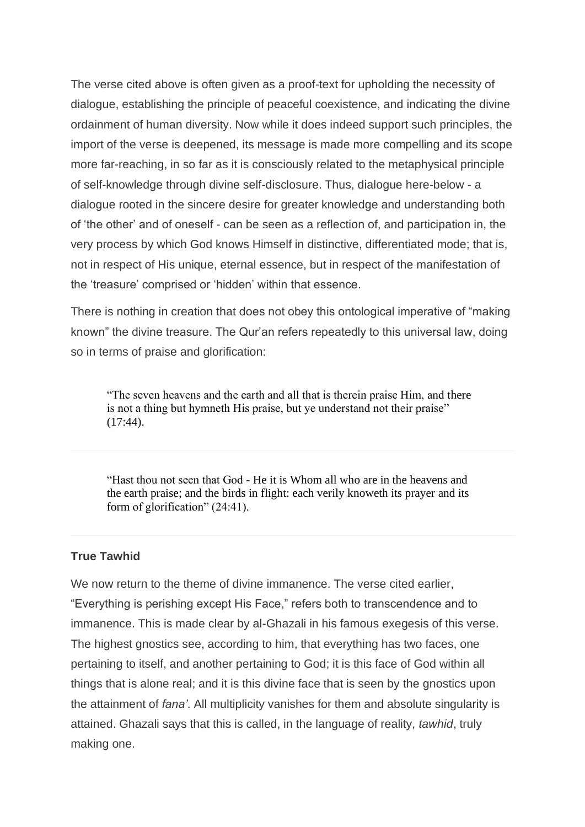The verse cited above is often given as a proof-text for upholding the necessity of dialogue, establishing the principle of peaceful coexistence, and indicating the divine ordainment of human diversity. Now while it does indeed support such principles, the import of the verse is deepened, its message is made more compelling and its scope more far-reaching, in so far as it is consciously related to the metaphysical principle of self-knowledge through divine self-disclosure. Thus, dialogue here-below - a dialogue rooted in the sincere desire for greater knowledge and understanding both of 'the other' and of oneself - can be seen as a reflection of, and participation in, the very process by which God knows Himself in distinctive, differentiated mode; that is, not in respect of His unique, eternal essence, but in respect of the manifestation of the 'treasure' comprised or 'hidden' within that essence.

There is nothing in creation that does not obey this ontological imperative of "making known" the divine treasure. The Qur'an refers repeatedly to this universal law, doing so in terms of praise and glorification:

"The seven heavens and the earth and all that is therein praise Him, and there is not a thing but hymneth His praise, but ye understand not their praise" (17:44).

"Hast thou not seen that God - He it is Whom all who are in the heavens and the earth praise; and the birds in flight: each verily knoweth its prayer and its form of glorification" (24:41).

#### **True Tawhid**

We now return to the theme of divine immanence. The verse cited earlier, "Everything is perishing except His Face," refers both to transcendence and to immanence. This is made clear by al-Ghazali in his famous exegesis of this verse. The highest gnostics see, according to him, that everything has two faces, one pertaining to itself, and another pertaining to God; it is this face of God within all things that is alone real; and it is this divine face that is seen by the gnostics upon the attainment of *fana'*. All multiplicity vanishes for them and absolute singularity is attained. Ghazali says that this is called, in the language of reality, *tawhid*, truly making one.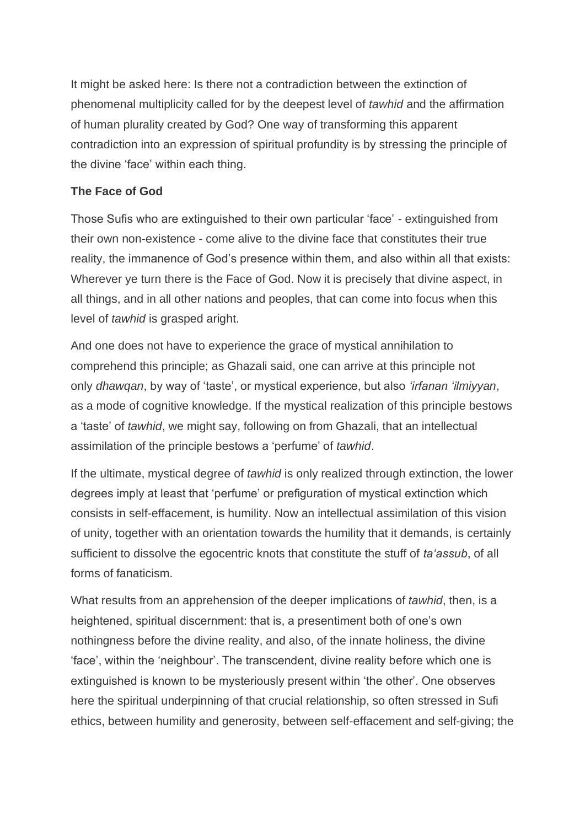It might be asked here: Is there not a contradiction between the extinction of phenomenal multiplicity called for by the deepest level of *tawhid* and the affirmation of human plurality created by God? One way of transforming this apparent contradiction into an expression of spiritual profundity is by stressing the principle of the divine 'face' within each thing.

## **The Face of God**

Those Sufis who are extinguished to their own particular 'face' - extinguished from their own non-existence - come alive to the divine face that constitutes their true reality, the immanence of God's presence within them, and also within all that exists: Wherever ye turn there is the Face of God. Now it is precisely that divine aspect, in all things, and in all other nations and peoples, that can come into focus when this level of *tawhid* is grasped aright.

And one does not have to experience the grace of mystical annihilation to comprehend this principle; as Ghazali said, one can arrive at this principle not only *dhawqan*, by way of 'taste', or mystical experience, but also *'irfanan 'ilmiyyan*, as a mode of cognitive knowledge. If the mystical realization of this principle bestows a 'taste' of *tawhid*, we might say, following on from Ghazali, that an intellectual assimilation of the principle bestows a 'perfume' of *tawhid*.

If the ultimate, mystical degree of *tawhid* is only realized through extinction, the lower degrees imply at least that 'perfume' or prefiguration of mystical extinction which consists in self-effacement, is humility. Now an intellectual assimilation of this vision of unity, together with an orientation towards the humility that it demands, is certainly sufficient to dissolve the egocentric knots that constitute the stuff of *ta'assub*, of all forms of fanaticism.

What results from an apprehension of the deeper implications of *tawhid*, then, is a heightened, spiritual discernment: that is, a presentiment both of one's own nothingness before the divine reality, and also, of the innate holiness, the divine 'face', within the 'neighbour'. The transcendent, divine reality before which one is extinguished is known to be mysteriously present within 'the other'. One observes here the spiritual underpinning of that crucial relationship, so often stressed in Sufi ethics, between humility and generosity, between self-effacement and self-giving; the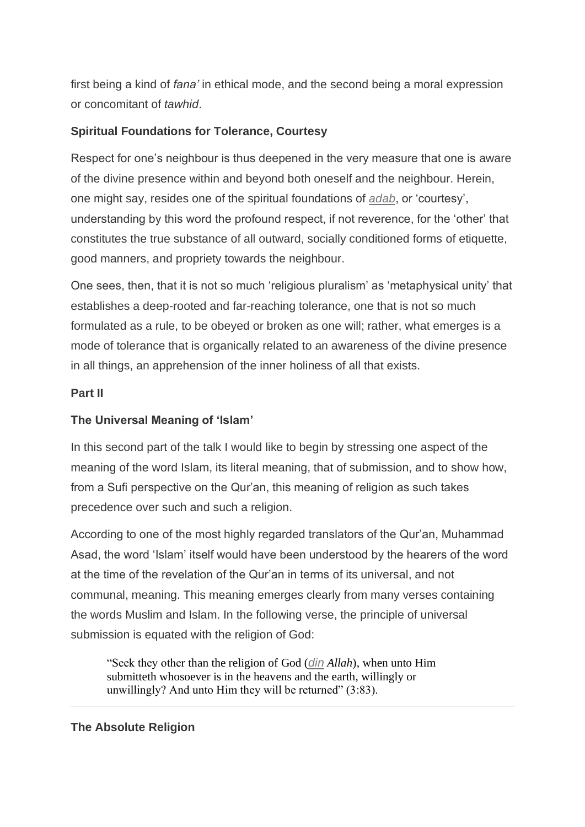first being a kind of *fana'* in ethical mode, and the second being a moral expression or concomitant of *tawhid*.

# **Spiritual Foundations for Tolerance, Courtesy**

Respect for one's neighbour is thus deepened in the very measure that one is aware of the divine presence within and beyond both oneself and the neighbour. Herein, one might say, resides one of the spiritual foundations of *adab*, or 'courtesy', understanding by this word the profound respect, if not reverence, for the 'other' that constitutes the true substance of all outward, socially conditioned forms of etiquette, good manners, and propriety towards the neighbour.

One sees, then, that it is not so much 'religious pluralism' as 'metaphysical unity' that establishes a deep-rooted and far-reaching tolerance, one that is not so much formulated as a rule, to be obeyed or broken as one will; rather, what emerges is a mode of tolerance that is organically related to an awareness of the divine presence in all things, an apprehension of the inner holiness of all that exists.

## **Part II**

# **The Universal Meaning of 'Islam'**

In this second part of the talk I would like to begin by stressing one aspect of the meaning of the word Islam, its literal meaning, that of submission, and to show how, from a Sufi perspective on the Qur'an, this meaning of religion as such takes precedence over such and such a religion.

According to one of the most highly regarded translators of the Qur'an, Muhammad Asad, the word 'Islam' itself would have been understood by the hearers of the word at the time of the revelation of the Qur'an in terms of its universal, and not communal, meaning. This meaning emerges clearly from many verses containing the words Muslim and Islam. In the following verse, the principle of universal submission is equated with the religion of God:

"Seek they other than the religion of God (*din Allah*), when unto Him submitteth whosoever is in the heavens and the earth, willingly or unwillingly? And unto Him they will be returned"  $(3:83)$ .

#### **The Absolute Religion**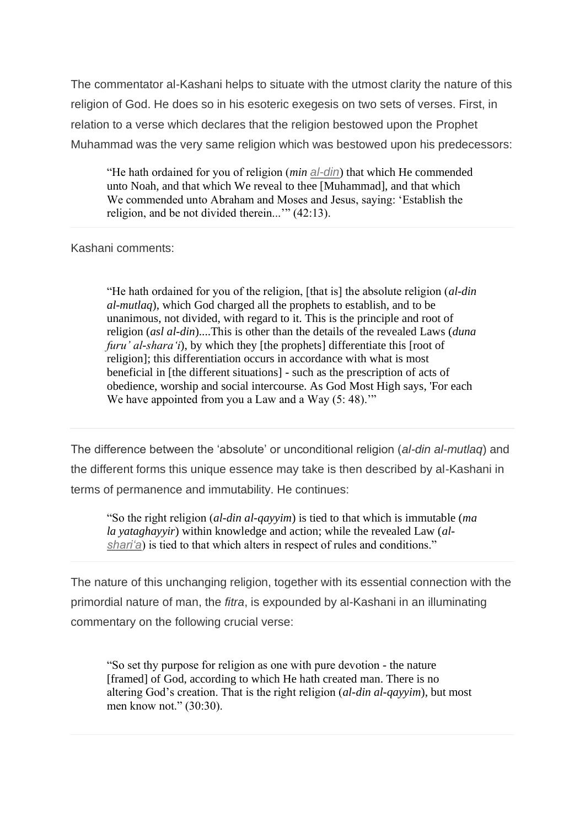The commentator al-Kashani helps to situate with the utmost clarity the nature of this religion of God. He does so in his esoteric exegesis on two sets of verses. First, in relation to a verse which declares that the religion bestowed upon the Prophet Muhammad was the very same religion which was bestowed upon his predecessors:

"He hath ordained for you of religion (*min al-din*) that which He commended unto Noah, and that which We reveal to thee [Muhammad], and that which We commended unto Abraham and Moses and Jesus, saying: 'Establish the religion, and be not divided therein...'" (42:13).

#### Kashani comments:

"He hath ordained for you of the religion, [that is] the absolute religion (*al-din al-mutlaq*), which God charged all the prophets to establish, and to be unanimous, not divided, with regard to it. This is the principle and root of religion (*asl al-din*)....This is other than the details of the revealed Laws (*duna furu' al-shara'i*), by which they [the prophets] differentiate this [root of religion]; this differentiation occurs in accordance with what is most beneficial in [the different situations] - such as the prescription of acts of obedience, worship and social intercourse. As God Most High says, 'For each We have appointed from you a Law and a Way  $(5: 48)$ ."

The difference between the 'absolute' or unconditional religion (*al-din al-mutlaq*) and the different forms this unique essence may take is then described by al-Kashani in terms of permanence and immutability. He continues:

"So the right religion (*al-din al-qayyim*) is tied to that which is immutable (*ma la yataghayyir*) within knowledge and action; while the revealed Law (*alshari'a*) is tied to that which alters in respect of rules and conditions."

The nature of this unchanging religion, together with its essential connection with the primordial nature of man, the *fitra*, is expounded by al-Kashani in an illuminating commentary on the following crucial verse:

"So set thy purpose for religion as one with pure devotion - the nature [framed] of God, according to which He hath created man. There is no altering God's creation. That is the right religion (*al-din al-qayyim*), but most men know not." (30:30).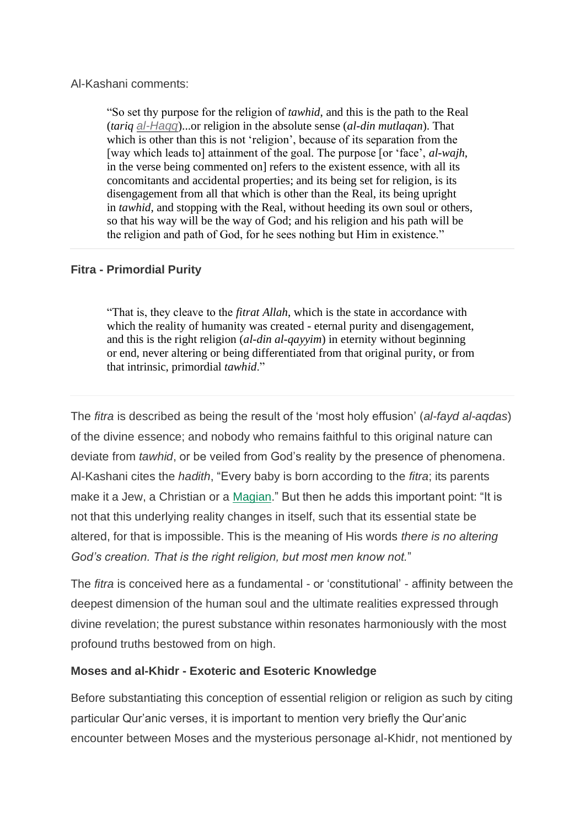#### Al-Kashani comments:

"So set thy purpose for the religion of *tawhid*, and this is the path to the Real (*tariq al-Haqq*)...or religion in the absolute sense (*al-din mutlaqan*). That which is other than this is not 'religion', because of its separation from the [way which leads to] attainment of the goal. The purpose [or 'face', *al-wajh*, in the verse being commented on] refers to the existent essence, with all its concomitants and accidental properties; and its being set for religion, is its disengagement from all that which is other than the Real, its being upright in *tawhid*, and stopping with the Real, without heeding its own soul or others, so that his way will be the way of God; and his religion and his path will be the religion and path of God, for he sees nothing but Him in existence."

#### **Fitra - Primordial Purity**

"That is, they cleave to the *fitrat Allah*, which is the state in accordance with which the reality of humanity was created - eternal purity and disengagement, and this is the right religion (*al-din al-qayyim*) in eternity without beginning or end, never altering or being differentiated from that original purity, or from that intrinsic, primordial *tawhid*."

The *fitra* is described as being the result of the 'most holy effusion' (*al-fayd al-aqdas*) of the divine essence; and nobody who remains faithful to this original nature can deviate from *tawhid*, or be veiled from God's reality by the presence of phenomena. Al-Kashani cites the *hadith*, "Every baby is born according to the *fitra*; its parents make it a Jew, a Christian or a Magian." But then he adds this important point: "It is not that this underlying reality changes in itself, such that its essential state be altered, for that is impossible. This is the meaning of His words *there is no altering God's creation. That is the right religion, but most men know not.*"

The *fitra* is conceived here as a fundamental - or 'constitutional' - affinity between the deepest dimension of the human soul and the ultimate realities expressed through divine revelation; the purest substance within resonates harmoniously with the most profound truths bestowed from on high.

#### **Moses and al-Khidr - Exoteric and Esoteric Knowledge**

Before substantiating this conception of essential religion or religion as such by citing particular Qur'anic verses, it is important to mention very briefly the Qur'anic encounter between Moses and the mysterious personage al-Khidr, not mentioned by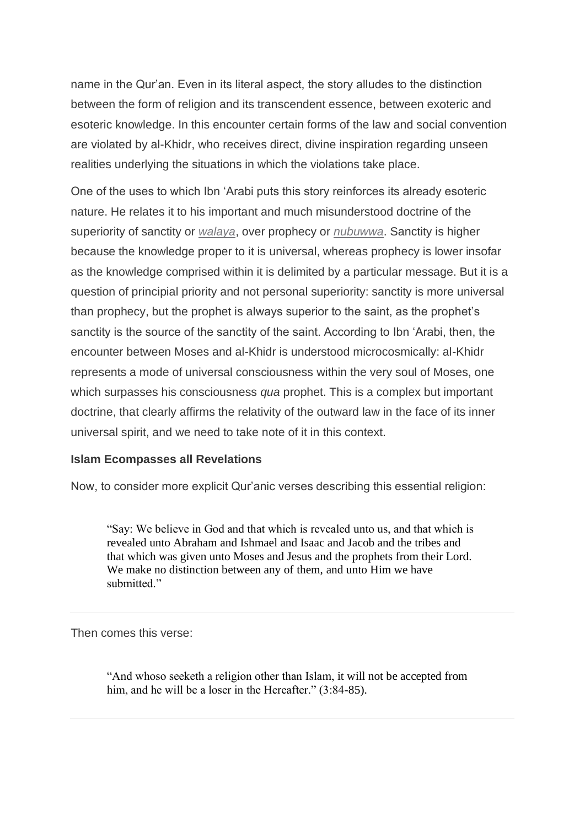name in the Qur'an. Even in its literal aspect, the story alludes to the distinction between the form of religion and its transcendent essence, between exoteric and esoteric knowledge. In this encounter certain forms of the law and social convention are violated by al-Khidr, who receives direct, divine inspiration regarding unseen realities underlying the situations in which the violations take place.

One of the uses to which Ibn 'Arabi puts this story reinforces its already esoteric nature. He relates it to his important and much misunderstood doctrine of the superiority of sanctity or *walaya*, over prophecy or *nubuwwa*. Sanctity is higher because the knowledge proper to it is universal, whereas prophecy is lower insofar as the knowledge comprised within it is delimited by a particular message. But it is a question of principial priority and not personal superiority: sanctity is more universal than prophecy, but the prophet is always superior to the saint, as the prophet's sanctity is the source of the sanctity of the saint. According to Ibn 'Arabi, then, the encounter between Moses and al-Khidr is understood microcosmically: al-Khidr represents a mode of universal consciousness within the very soul of Moses, one which surpasses his consciousness *qua* prophet. This is a complex but important doctrine, that clearly affirms the relativity of the outward law in the face of its inner universal spirit, and we need to take note of it in this context.

#### **Islam Ecompasses all Revelations**

Now, to consider more explicit Qur'anic verses describing this essential religion:

"Say: We believe in God and that which is revealed unto us, and that which is revealed unto Abraham and Ishmael and Isaac and Jacob and the tribes and that which was given unto Moses and Jesus and the prophets from their Lord. We make no distinction between any of them, and unto Him we have submitted."

Then comes this verse:

"And whoso seeketh a religion other than Islam, it will not be accepted from him, and he will be a loser in the Hereafter." (3:84-85).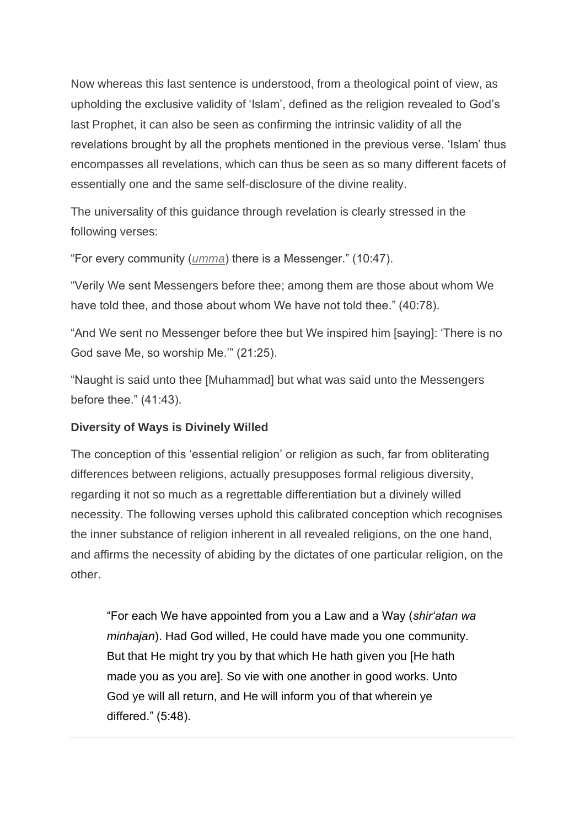Now whereas this last sentence is understood, from a theological point of view, as upholding the exclusive validity of 'Islam', defined as the religion revealed to God's last Prophet, it can also be seen as confirming the intrinsic validity of all the revelations brought by all the prophets mentioned in the previous verse. 'Islam' thus encompasses all revelations, which can thus be seen as so many different facets of essentially one and the same self-disclosure of the divine reality.

The universality of this guidance through revelation is clearly stressed in the following verses:

"For every community (*umma*) there is a Messenger." (10:47).

"Verily We sent Messengers before thee; among them are those about whom We have told thee, and those about whom We have not told thee." (40:78).

"And We sent no Messenger before thee but We inspired him [saying]: 'There is no God save Me, so worship Me.'" (21:25).

"Naught is said unto thee [Muhammad] but what was said unto the Messengers before thee." (41:43).

# **Diversity of Ways is Divinely Willed**

The conception of this 'essential religion' or religion as such, far from obliterating differences between religions, actually presupposes formal religious diversity, regarding it not so much as a regrettable differentiation but a divinely willed necessity. The following verses uphold this calibrated conception which recognises the inner substance of religion inherent in all revealed religions, on the one hand, and affirms the necessity of abiding by the dictates of one particular religion, on the other.

"For each We have appointed from you a Law and a Way (*shir'atan wa minhajan*). Had God willed, He could have made you one community. But that He might try you by that which He hath given you [He hath made you as you are]. So vie with one another in good works. Unto God ye will all return, and He will inform you of that wherein ye differed." (5:48).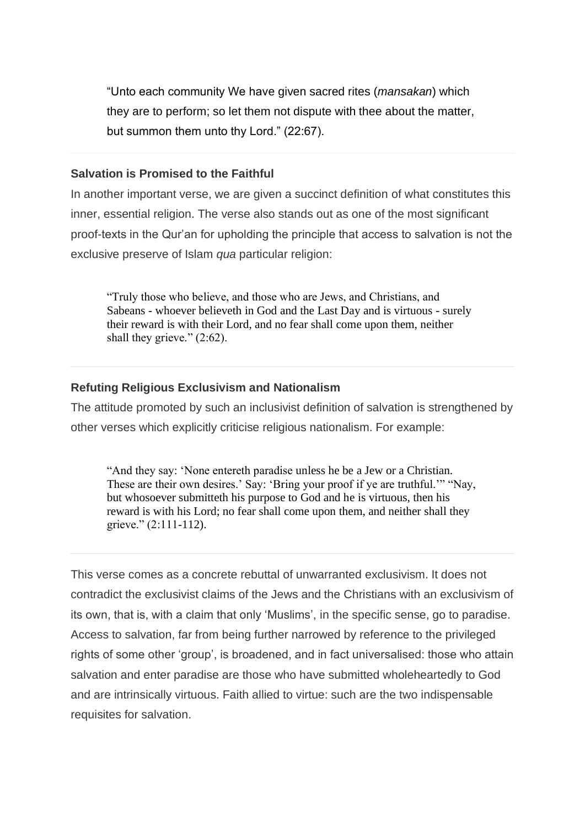"Unto each community We have given sacred rites (*mansakan*) which they are to perform; so let them not dispute with thee about the matter, but summon them unto thy Lord." (22:67).

#### **Salvation is Promised to the Faithful**

In another important verse, we are given a succinct definition of what constitutes this inner, essential religion. The verse also stands out as one of the most significant proof-texts in the Qur'an for upholding the principle that access to salvation is not the exclusive preserve of Islam *qua* particular religion:

"Truly those who believe, and those who are Jews, and Christians, and Sabeans - whoever believeth in God and the Last Day and is virtuous - surely their reward is with their Lord, and no fear shall come upon them, neither shall they grieve." (2:62).

# **Refuting Religious Exclusivism and Nationalism**

The attitude promoted by such an inclusivist definition of salvation is strengthened by other verses which explicitly criticise religious nationalism. For example:

"And they say: 'None entereth paradise unless he be a Jew or a Christian. These are their own desires.' Say: 'Bring your proof if ye are truthful.'" "Nay, but whosoever submitteth his purpose to God and he is virtuous, then his reward is with his Lord; no fear shall come upon them, and neither shall they grieve." (2:111-112).

This verse comes as a concrete rebuttal of unwarranted exclusivism. It does not contradict the exclusivist claims of the Jews and the Christians with an exclusivism of its own, that is, with a claim that only 'Muslims', in the specific sense, go to paradise. Access to salvation, far from being further narrowed by reference to the privileged rights of some other 'group', is broadened, and in fact universalised: those who attain salvation and enter paradise are those who have submitted wholeheartedly to God and are intrinsically virtuous. Faith allied to virtue: such are the two indispensable requisites for salvation.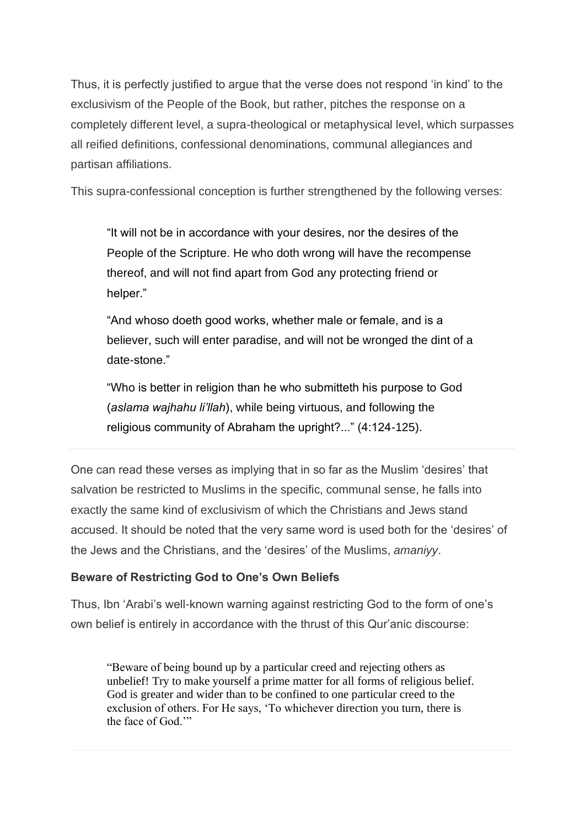Thus, it is perfectly justified to argue that the verse does not respond 'in kind' to the exclusivism of the People of the Book, but rather, pitches the response on a completely different level, a supra-theological or metaphysical level, which surpasses all reified definitions, confessional denominations, communal allegiances and partisan affiliations.

This supra-confessional conception is further strengthened by the following verses:

"It will not be in accordance with your desires, nor the desires of the People of the Scripture. He who doth wrong will have the recompense thereof, and will not find apart from God any protecting friend or helper."

"And whoso doeth good works, whether male or female, and is a believer, such will enter paradise, and will not be wronged the dint of a date-stone."

"Who is better in religion than he who submitteth his purpose to God (*aslama wajhahu li'llah*), while being virtuous, and following the religious community of Abraham the upright?..." (4:124-125).

One can read these verses as implying that in so far as the Muslim 'desires' that salvation be restricted to Muslims in the specific, communal sense, he falls into exactly the same kind of exclusivism of which the Christians and Jews stand accused. It should be noted that the very same word is used both for the 'desires' of the Jews and the Christians, and the 'desires' of the Muslims, *amaniyy*.

# **Beware of Restricting God to One's Own Beliefs**

Thus, Ibn 'Arabi's well-known warning against restricting God to the form of one's own belief is entirely in accordance with the thrust of this Qur'anic discourse:

"Beware of being bound up by a particular creed and rejecting others as unbelief! Try to make yourself a prime matter for all forms of religious belief. God is greater and wider than to be confined to one particular creed to the exclusion of others. For He says, 'To whichever direction you turn, there is the face of God."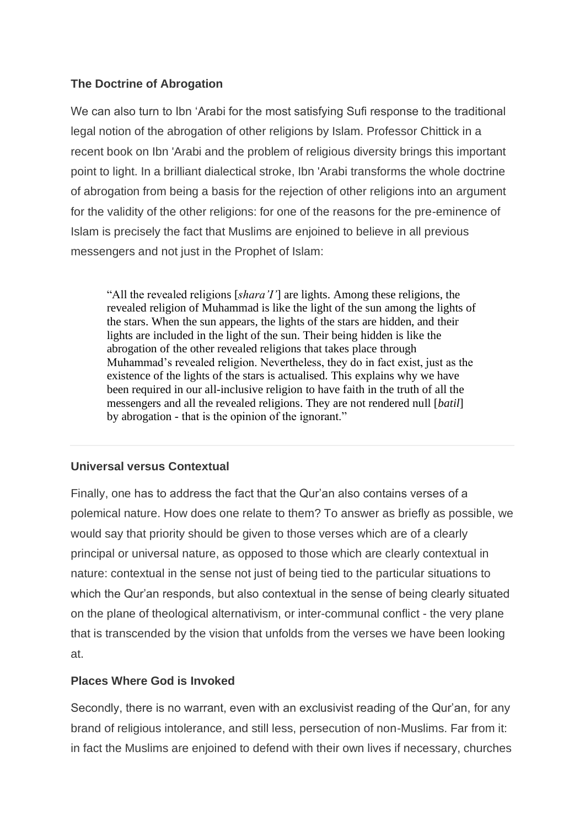# **The Doctrine of Abrogation**

We can also turn to Ibn 'Arabi for the most satisfying Sufi response to the traditional legal notion of the abrogation of other religions by Islam. Professor Chittick in a recent book on Ibn 'Arabi and the problem of religious diversity brings this important point to light. In a brilliant dialectical stroke, Ibn 'Arabi transforms the whole doctrine of abrogation from being a basis for the rejection of other religions into an argument for the validity of the other religions: for one of the reasons for the pre-eminence of Islam is precisely the fact that Muslims are enjoined to believe in all previous messengers and not just in the Prophet of Islam:

"All the revealed religions [*shara'I'*] are lights. Among these religions, the revealed religion of Muhammad is like the light of the sun among the lights of the stars. When the sun appears, the lights of the stars are hidden, and their lights are included in the light of the sun. Their being hidden is like the abrogation of the other revealed religions that takes place through Muhammad's revealed religion. Nevertheless, they do in fact exist, just as the existence of the lights of the stars is actualised. This explains why we have been required in our all-inclusive religion to have faith in the truth of all the messengers and all the revealed religions. They are not rendered null [*batil*] by abrogation - that is the opinion of the ignorant."

# **Universal versus Contextual**

Finally, one has to address the fact that the Qur'an also contains verses of a polemical nature. How does one relate to them? To answer as briefly as possible, we would say that priority should be given to those verses which are of a clearly principal or universal nature, as opposed to those which are clearly contextual in nature: contextual in the sense not just of being tied to the particular situations to which the Qur'an responds, but also contextual in the sense of being clearly situated on the plane of theological alternativism, or inter-communal conflict - the very plane that is transcended by the vision that unfolds from the verses we have been looking at.

# **Places Where God is Invoked**

Secondly, there is no warrant, even with an exclusivist reading of the Qur'an, for any brand of religious intolerance, and still less, persecution of non-Muslims. Far from it: in fact the Muslims are enjoined to defend with their own lives if necessary, churches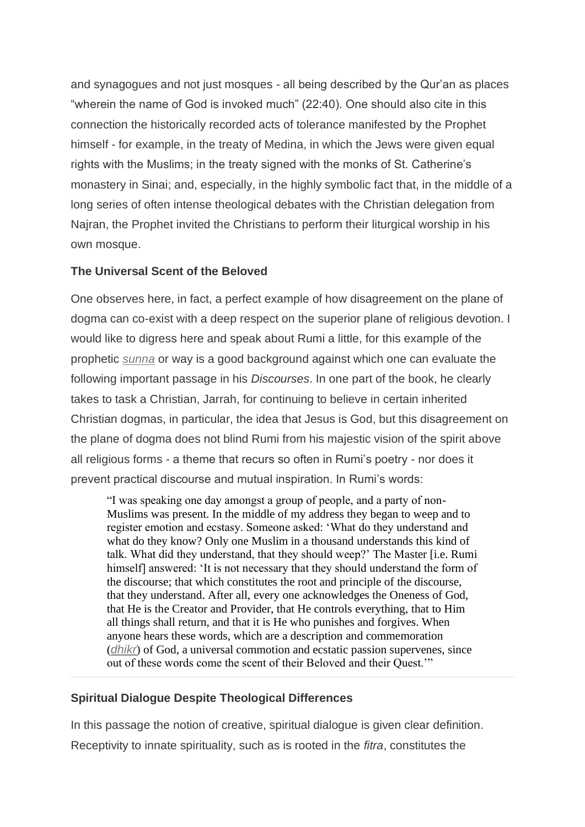and synagogues and not just mosques - all being described by the Qur'an as places "wherein the name of God is invoked much" (22:40). One should also cite in this connection the historically recorded acts of tolerance manifested by the Prophet himself - for example, in the treaty of Medina, in which the Jews were given equal rights with the Muslims; in the treaty signed with the monks of St. Catherine's monastery in Sinai; and, especially, in the highly symbolic fact that, in the middle of a long series of often intense theological debates with the Christian delegation from Najran, the Prophet invited the Christians to perform their liturgical worship in his own mosque.

## **The Universal Scent of the Beloved**

One observes here, in fact, a perfect example of how disagreement on the plane of dogma can co-exist with a deep respect on the superior plane of religious devotion. I would like to digress here and speak about Rumi a little, for this example of the prophetic *sunna* or way is a good background against which one can evaluate the following important passage in his *Discourses*. In one part of the book, he clearly takes to task a Christian, Jarrah, for continuing to believe in certain inherited Christian dogmas, in particular, the idea that Jesus is God, but this disagreement on the plane of dogma does not blind Rumi from his majestic vision of the spirit above all religious forms - a theme that recurs so often in Rumi's poetry - nor does it prevent practical discourse and mutual inspiration. In Rumi's words:

"I was speaking one day amongst a group of people, and a party of non-Muslims was present. In the middle of my address they began to weep and to register emotion and ecstasy. Someone asked: 'What do they understand and what do they know? Only one Muslim in a thousand understands this kind of talk. What did they understand, that they should weep?' The Master [i.e. Rumi himself] answered: 'It is not necessary that they should understand the form of the discourse; that which constitutes the root and principle of the discourse, that they understand. After all, every one acknowledges the Oneness of God, that He is the Creator and Provider, that He controls everything, that to Him all things shall return, and that it is He who punishes and forgives. When anyone hears these words, which are a description and commemoration (*dhikr*) of God, a universal commotion and ecstatic passion supervenes, since out of these words come the scent of their Beloved and their Quest.'"

#### **Spiritual Dialogue Despite Theological Differences**

In this passage the notion of creative, spiritual dialogue is given clear definition. Receptivity to innate spirituality, such as is rooted in the *fitra*, constitutes the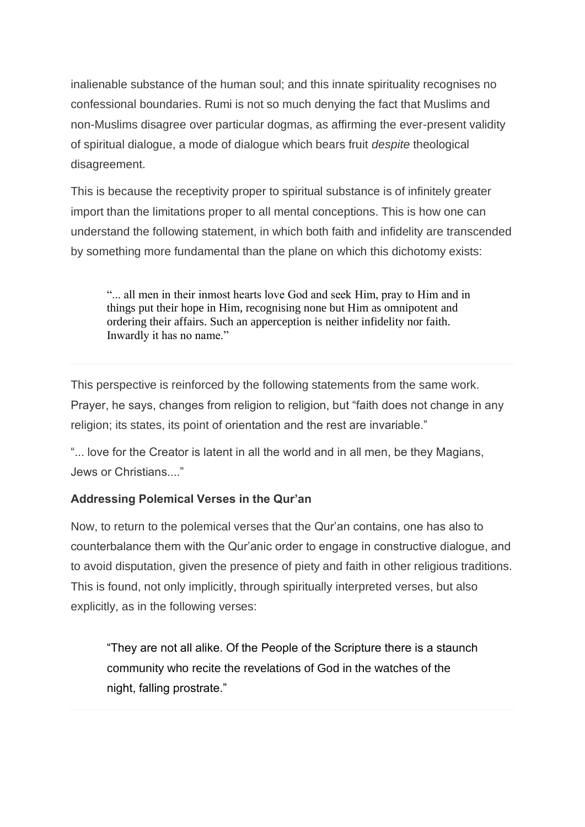inalienable substance of the human soul; and this innate spirituality recognises no confessional boundaries. Rumi is not so much denying the fact that Muslims and non-Muslims disagree over particular dogmas, as affirming the ever-present validity of spiritual dialogue, a mode of dialogue which bears fruit *despite* theological disagreement.

This is because the receptivity proper to spiritual substance is of infinitely greater import than the limitations proper to all mental conceptions. This is how one can understand the following statement, in which both faith and infidelity are transcended by something more fundamental than the plane on which this dichotomy exists:

"... all men in their inmost hearts love God and seek Him, pray to Him and in things put their hope in Him, recognising none but Him as omnipotent and ordering their affairs. Such an apperception is neither infidelity nor faith. Inwardly it has no name."

This perspective is reinforced by the following statements from the same work. Prayer, he says, changes from religion to religion, but "faith does not change in any religion; its states, its point of orientation and the rest are invariable."

"... love for the Creator is latent in all the world and in all men, be they Magians, Jews or Christians...."

# **Addressing Polemical Verses in the Qur'an**

Now, to return to the polemical verses that the Qur'an contains, one has also to counterbalance them with the Qur'anic order to engage in constructive dialogue, and to avoid disputation, given the presence of piety and faith in other religious traditions. This is found, not only implicitly, through spiritually interpreted verses, but also explicitly, as in the following verses:

"They are not all alike. Of the People of the Scripture there is a staunch community who recite the revelations of God in the watches of the night, falling prostrate."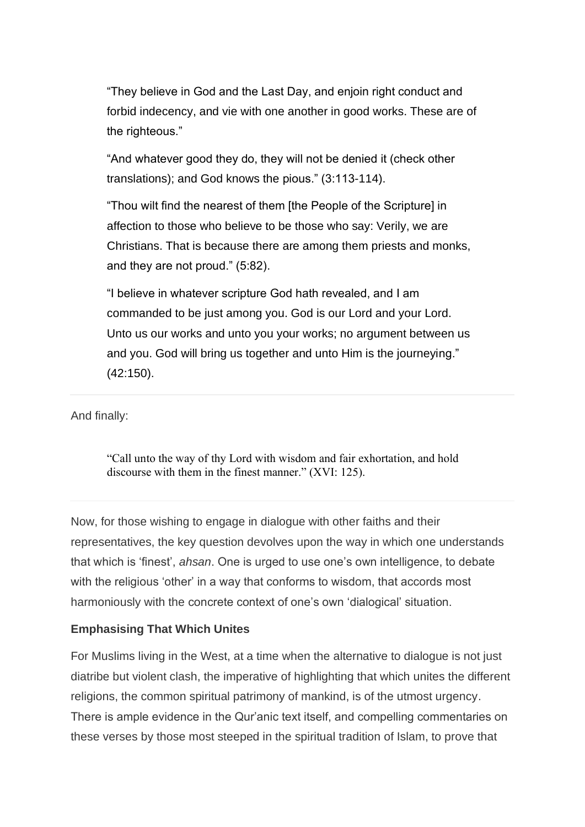"They believe in God and the Last Day, and enjoin right conduct and forbid indecency, and vie with one another in good works. These are of the righteous."

"And whatever good they do, they will not be denied it (check other translations); and God knows the pious." (3:113-114).

"Thou wilt find the nearest of them [the People of the Scripture] in affection to those who believe to be those who say: Verily, we are Christians. That is because there are among them priests and monks, and they are not proud." (5:82).

"I believe in whatever scripture God hath revealed, and I am commanded to be just among you. God is our Lord and your Lord. Unto us our works and unto you your works; no argument between us and you. God will bring us together and unto Him is the journeying." (42:150).

And finally:

"Call unto the way of thy Lord with wisdom and fair exhortation, and hold discourse with them in the finest manner." (XVI: 125).

Now, for those wishing to engage in dialogue with other faiths and their representatives, the key question devolves upon the way in which one understands that which is 'finest', *ahsan*. One is urged to use one's own intelligence, to debate with the religious 'other' in a way that conforms to wisdom, that accords most harmoniously with the concrete context of one's own 'dialogical' situation.

#### **Emphasising That Which Unites**

For Muslims living in the West, at a time when the alternative to dialogue is not just diatribe but violent clash, the imperative of highlighting that which unites the different religions, the common spiritual patrimony of mankind, is of the utmost urgency. There is ample evidence in the Qur'anic text itself, and compelling commentaries on these verses by those most steeped in the spiritual tradition of Islam, to prove that